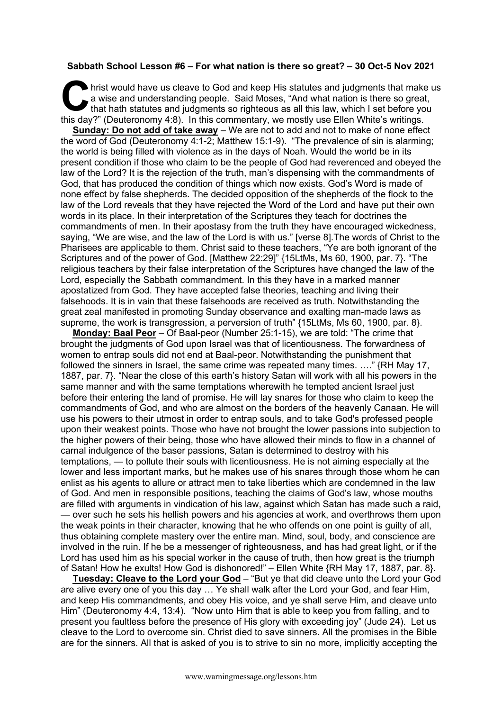## **Sabbath School Lesson #6 – For what nation is there so great? – 30 Oct-5 Nov 2021**

hrist would have us cleave to God and keep His statutes and judgments that make us a wise and understanding people. Said Moses, "And what nation is there so great, that hath statutes and judgments so righteous as all this law, which I set before you It his day?" (Deuteronomy 4:8). In this commentary, we mostly use Ellen White's writings.

**Sunday: Do not add of take away** – We are not to add and not to make of none effect the word of God (Deuteronomy 4:1-2; Matthew 15:1-9). "The prevalence of sin is alarming; the world is being filled with violence as in the days of Noah. Would the world be in its present condition if those who claim to be the people of God had reverenced and obeyed the law of the Lord? It is the rejection of the truth, man's dispensing with the commandments of God, that has produced the condition of things which now exists. God's Word is made of none effect by false shepherds. The decided opposition of the shepherds of the flock to the law of the Lord reveals that they have rejected the Word of the Lord and have put their own words in its place. In their interpretation of the Scriptures they teach for doctrines the commandments of men. In their apostasy from the truth they have encouraged wickedness, saying, "We are wise, and the law of the Lord is with us." [verse 8].The words of Christ to the Pharisees are applicable to them. Christ said to these teachers, "Ye are both ignorant of the Scriptures and of the power of God. [Matthew 22:29]" {15LtMs, Ms 60, 1900, par. 7}. "The religious teachers by their false interpretation of the Scriptures have changed the law of the Lord, especially the Sabbath commandment. In this they have in a marked manner apostatized from God. They have accepted false theories, teaching and living their falsehoods. It is in vain that these falsehoods are received as truth. Notwithstanding the great zeal manifested in promoting Sunday observance and exalting man-made laws as supreme, the work is transgression, a perversion of truth" {15LtMs, Ms 60, 1900, par. 8}.

**Monday: Baal Peor** – Of Baal-peor (Number 25:1-15), we are told: "The crime that brought the judgments of God upon Israel was that of licentiousness. The forwardness of women to entrap souls did not end at Baal-peor. Notwithstanding the punishment that followed the sinners in Israel, the same crime was repeated many times. …." {RH May 17, 1887, par. 7}. "Near the close of this earth's history Satan will work with all his powers in the same manner and with the same temptations wherewith he tempted ancient Israel just before their entering the land of promise. He will lay snares for those who claim to keep the commandments of God, and who are almost on the borders of the heavenly Canaan. He will use his powers to their utmost in order to entrap souls, and to take God's professed people upon their weakest points. Those who have not brought the lower passions into subjection to the higher powers of their being, those who have allowed their minds to flow in a channel of carnal indulgence of the baser passions, Satan is determined to destroy with his temptations, — to pollute their souls with licentiousness. He is not aiming especially at the lower and less important marks, but he makes use of his snares through those whom he can enlist as his agents to allure or attract men to take liberties which are condemned in the law of God. And men in responsible positions, teaching the claims of God's law, whose mouths are filled with arguments in vindication of his law, against which Satan has made such a raid, — over such he sets his hellish powers and his agencies at work, and overthrows them upon the weak points in their character, knowing that he who offends on one point is guilty of all, thus obtaining complete mastery over the entire man. Mind, soul, body, and conscience are involved in the ruin. If he be a messenger of righteousness, and has had great light, or if the Lord has used him as his special worker in the cause of truth, then how great is the triumph of Satan! How he exults! How God is dishonored!" – Ellen White {RH May 17, 1887, par. 8}.

**Tuesday: Cleave to the Lord your God** – "But ye that did cleave unto the Lord your God are alive every one of you this day … Ye shall walk after the Lord your God, and fear Him, and keep His commandments, and obey His voice, and ye shall serve Him, and cleave unto Him" (Deuteronomy 4:4, 13:4). "Now unto Him that is able to keep you from falling, and to present you faultless before the presence of His glory with exceeding joy" (Jude 24). Let us cleave to the Lord to overcome sin. Christ died to save sinners. All the promises in the Bible are for the sinners. All that is asked of you is to strive to sin no more, implicitly accepting the